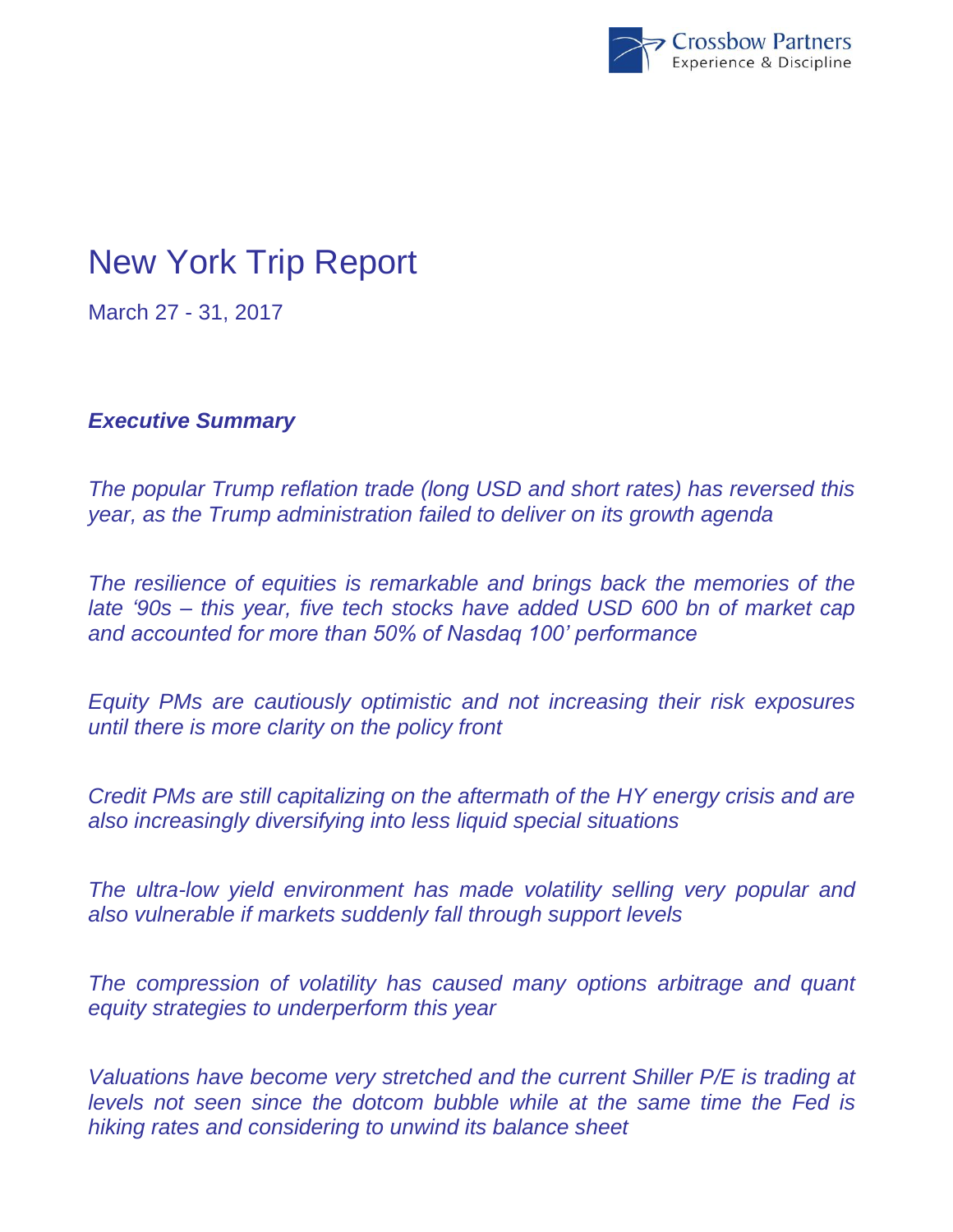

# New York Trip Report

March 27 - 31, 2017

*Executive Summary*

*The popular Trump reflation trade (long USD and short rates) has reversed this year, as the Trump administration failed to deliver on its growth agenda*

*The resilience of equities is remarkable and brings back the memories of the late '90s – this year, five tech stocks have added USD 600 bn of market cap and accounted for more than 50% of Nasdaq 100' performance* 

*Equity PMs are cautiously optimistic and not increasing their risk exposures until there is more clarity on the policy front*

*Credit PMs are still capitalizing on the aftermath of the HY energy crisis and are also increasingly diversifying into less liquid special situations*

*The ultra-low yield environment has made volatility selling very popular and also vulnerable if markets suddenly fall through support levels*

*The compression of volatility has caused many options arbitrage and quant equity strategies to underperform this year*

*Valuations have become very stretched and the current Shiller P/E is trading at levels not seen since the dotcom bubble while at the same time the Fed is hiking rates and considering to unwind its balance sheet*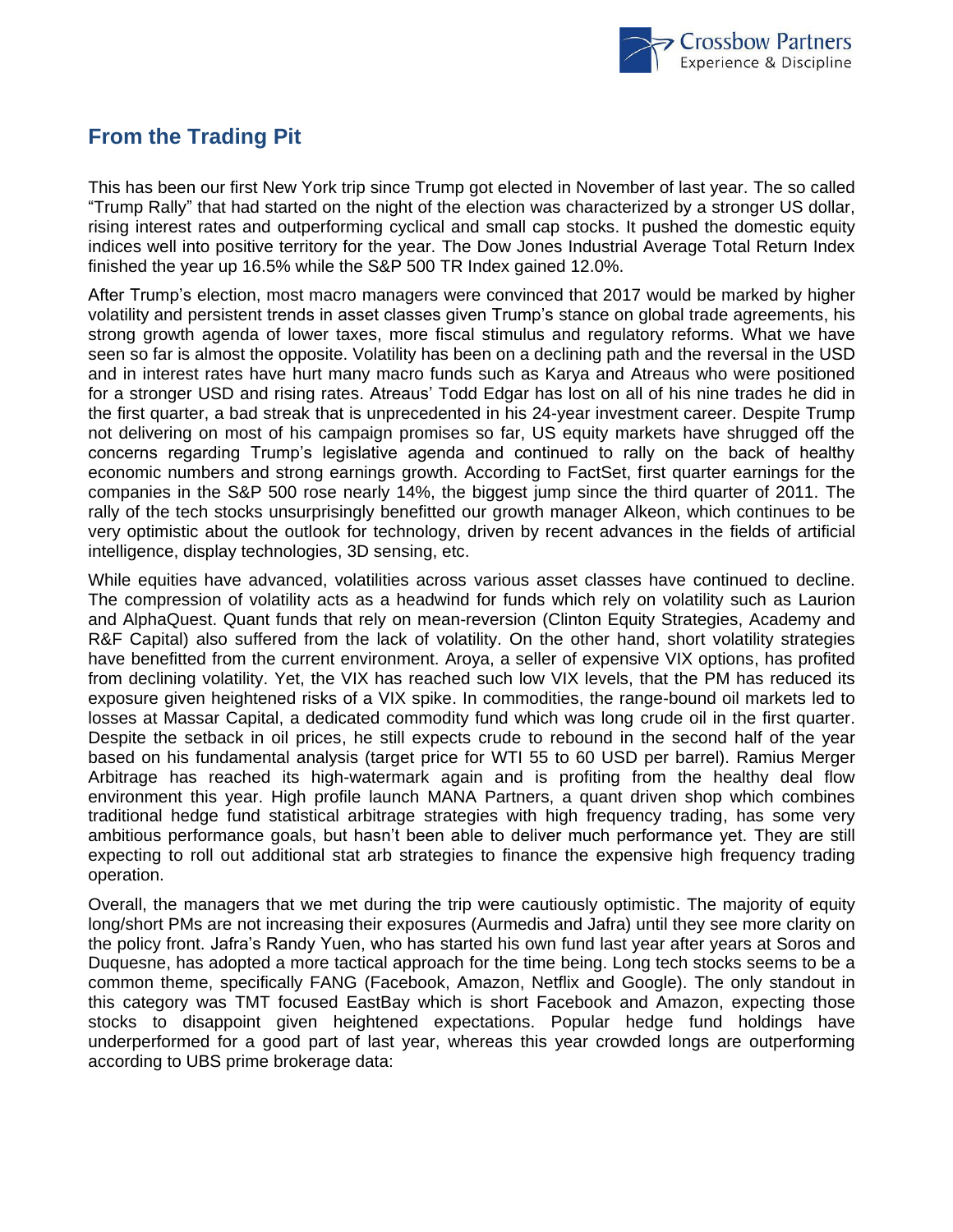

## **From the Trading Pit**

This has been our first New York trip since Trump got elected in November of last year. The so called "Trump Rally" that had started on the night of the election was characterized by a stronger US dollar, rising interest rates and outperforming cyclical and small cap stocks. It pushed the domestic equity indices well into positive territory for the year. The Dow Jones Industrial Average Total Return Index finished the year up 16.5% while the S&P 500 TR Index gained 12.0%.

After Trump's election, most macro managers were convinced that 2017 would be marked by higher volatility and persistent trends in asset classes given Trump's stance on global trade agreements, his strong growth agenda of lower taxes, more fiscal stimulus and regulatory reforms. What we have seen so far is almost the opposite. Volatility has been on a declining path and the reversal in the USD and in interest rates have hurt many macro funds such as Karya and Atreaus who were positioned for a stronger USD and rising rates. Atreaus' Todd Edgar has lost on all of his nine trades he did in the first quarter, a bad streak that is unprecedented in his 24-year investment career. Despite Trump not delivering on most of his campaign promises so far, US equity markets have shrugged off the concerns regarding Trump's legislative agenda and continued to rally on the back of healthy economic numbers and strong earnings growth. According to FactSet, first quarter earnings for the companies in the S&P 500 rose nearly 14%, the biggest jump since the third quarter of 2011. The rally of the tech stocks unsurprisingly benefitted our growth manager Alkeon, which continues to be very optimistic about the outlook for technology, driven by recent advances in the fields of artificial intelligence, display technologies, 3D sensing, etc.

While equities have advanced, volatilities across various asset classes have continued to decline. The compression of volatility acts as a headwind for funds which rely on volatility such as Laurion and AlphaQuest. Quant funds that rely on mean-reversion (Clinton Equity Strategies, Academy and R&F Capital) also suffered from the lack of volatility. On the other hand, short volatility strategies have benefitted from the current environment. Aroya, a seller of expensive VIX options, has profited from declining volatility. Yet, the VIX has reached such low VIX levels, that the PM has reduced its exposure given heightened risks of a VIX spike. In commodities, the range-bound oil markets led to losses at Massar Capital, a dedicated commodity fund which was long crude oil in the first quarter. Despite the setback in oil prices, he still expects crude to rebound in the second half of the year based on his fundamental analysis (target price for WTI 55 to 60 USD per barrel). Ramius Merger Arbitrage has reached its high-watermark again and is profiting from the healthy deal flow environment this year. High profile launch MANA Partners, a quant driven shop which combines traditional hedge fund statistical arbitrage strategies with high frequency trading, has some very ambitious performance goals, but hasn't been able to deliver much performance yet. They are still expecting to roll out additional stat arb strategies to finance the expensive high frequency trading operation.

Overall, the managers that we met during the trip were cautiously optimistic. The majority of equity long/short PMs are not increasing their exposures (Aurmedis and Jafra) until they see more clarity on the policy front. Jafra's Randy Yuen, who has started his own fund last year after years at Soros and Duquesne, has adopted a more tactical approach for the time being. Long tech stocks seems to be a common theme, specifically FANG (Facebook, Amazon, Netflix and Google). The only standout in this category was TMT focused EastBay which is short Facebook and Amazon, expecting those stocks to disappoint given heightened expectations. Popular hedge fund holdings have underperformed for a good part of last year, whereas this year crowded longs are outperforming according to UBS prime brokerage data: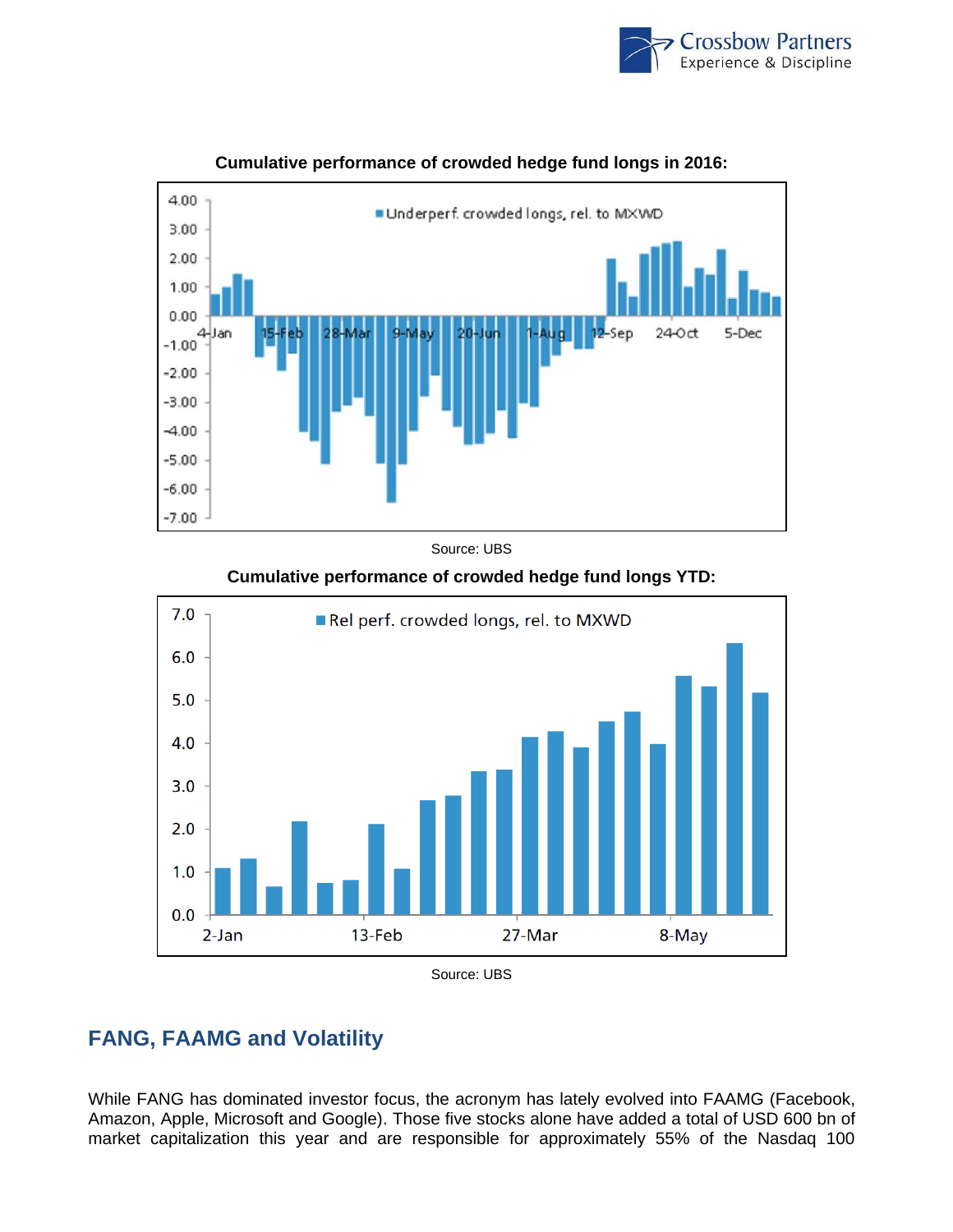



### **Cumulative performance of crowded hedge fund longs in 2016:**

Source: UBS



#### **Cumulative performance of crowded hedge fund longs YTD:**

## **FANG, FAAMG and Volatility**

While FANG has dominated investor focus, the acronym has lately evolved into FAAMG (Facebook, Amazon, Apple, Microsoft and Google). Those five stocks alone have added a total of USD 600 bn of market capitalization this year and are responsible for approximately 55% of the Nasdaq 100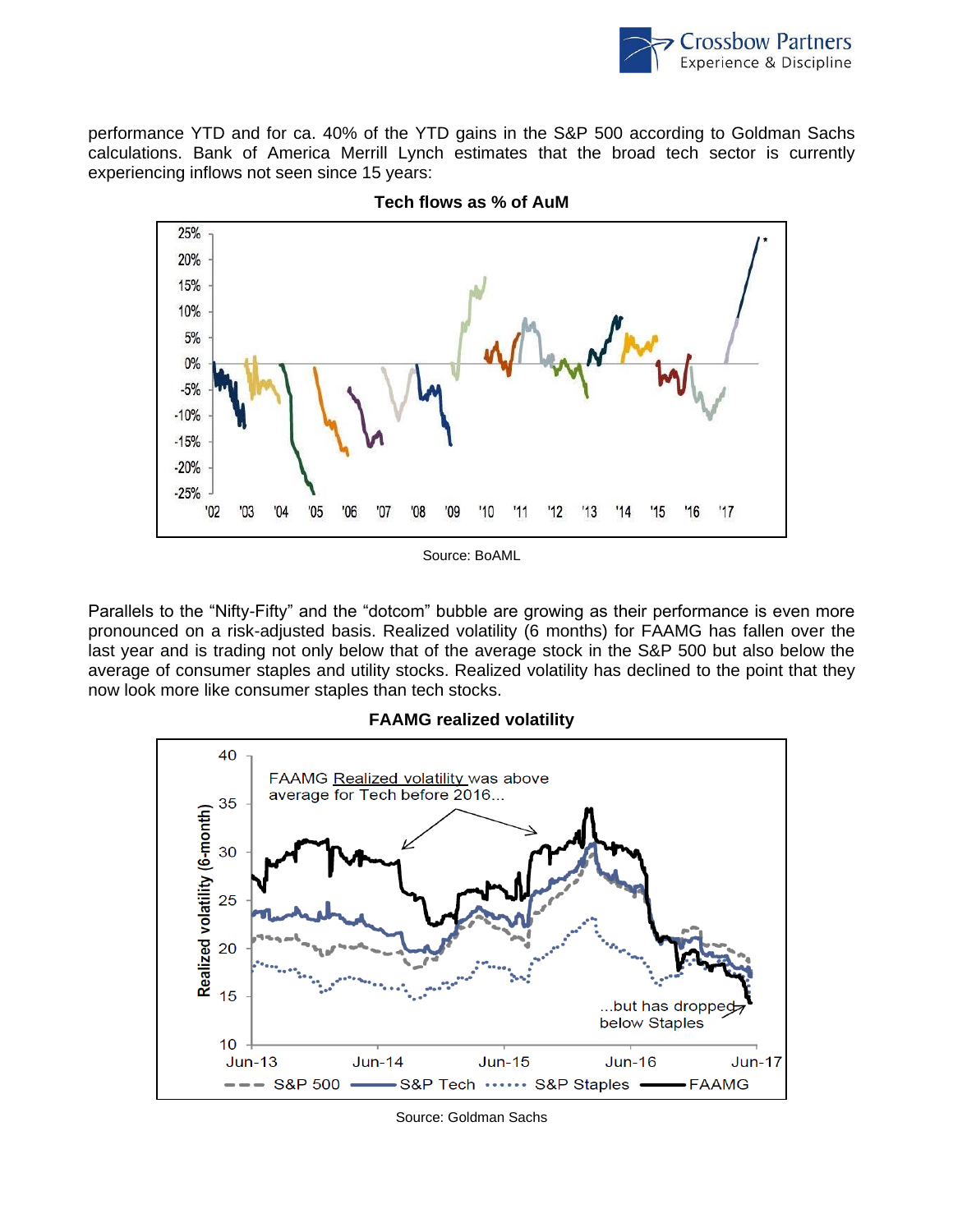

performance YTD and for ca. 40% of the YTD gains in the S&P 500 according to Goldman Sachs calculations. Bank of America Merrill Lynch estimates that the broad tech sector is currently experiencing inflows not seen since 15 years:





Source: BoAML

Parallels to the "Nifty-Fifty" and the "dotcom" bubble are growing as their performance is even more pronounced on a risk-adjusted basis. Realized volatility (6 months) for FAAMG has fallen over the last year and is trading not only below that of the average stock in the S&P 500 but also below the average of consumer staples and utility stocks. Realized volatility has declined to the point that they now look more like consumer staples than tech stocks.

#### **FAAMG realized volatility**



Source: Goldman Sachs